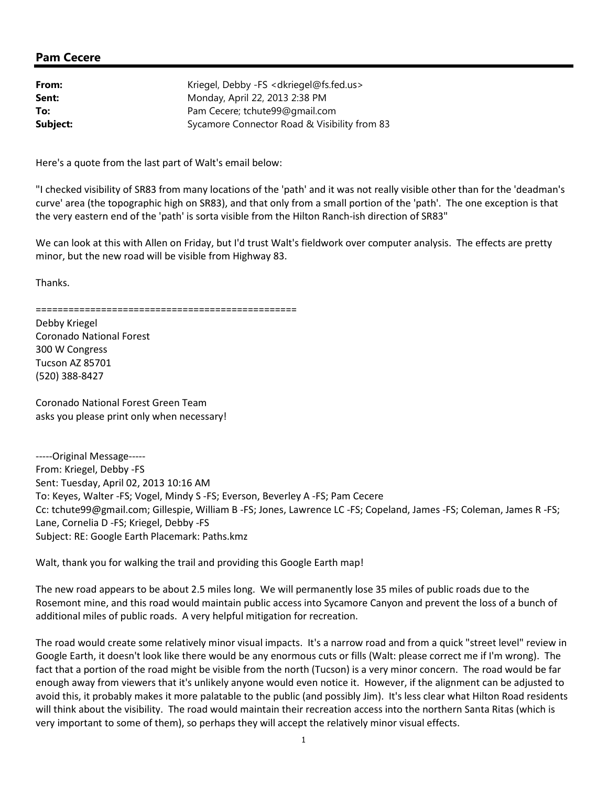## Pam Cecere

| From:    | Kriegel, Debby -FS <dkriegel@fs.fed.us></dkriegel@fs.fed.us> |
|----------|--------------------------------------------------------------|
| Sent:    | Monday, April 22, 2013 2:38 PM                               |
| To:      | Pam Cecere; tchute99@gmail.com                               |
| Subject: | Sycamore Connector Road & Visibility from 83                 |

Here's a quote from the last part of Walt's email below:

"I checked visibility of SR83 from many locations of the 'path' and it was not really visible other than for the 'deadman's curve' area (the topographic high on SR83), and that only from a small portion of the 'path'. The one exception is that the very eastern end of the 'path' is sorta visible from the Hilton Ranch-ish direction of SR83"

We can look at this with Allen on Friday, but I'd trust Walt's fieldwork over computer analysis. The effects are pretty minor, but the new road will be visible from Highway 83.

Thanks.

(520) 388-8427

================================================ Debby Kriegel Coronado National Forest 300 W Congress Tucson AZ 85701

Coronado National Forest Green Team asks you please print only when necessary!

-----Original Message----- From: Kriegel, Debby -FS Sent: Tuesday, April 02, 2013 10:16 AM To: Keyes, Walter -FS; Vogel, Mindy S -FS; Everson, Beverley A -FS; Pam Cecere Cc: tchute99@gmail.com; Gillespie, William B -FS; Jones, Lawrence LC -FS; Copeland, James -FS; Coleman, James R -FS; Lane, Cornelia D -FS; Kriegel, Debby -FS Subject: RE: Google Earth Placemark: Paths.kmz

Walt, thank you for walking the trail and providing this Google Earth map!

The new road appears to be about 2.5 miles long. We will permanently lose 35 miles of public roads due to the Rosemont mine, and this road would maintain public access into Sycamore Canyon and prevent the loss of a bunch of additional miles of public roads. A very helpful mitigation for recreation.

The road would create some relatively minor visual impacts. It's a narrow road and from a quick "street level" review in Google Earth, it doesn't look like there would be any enormous cuts or fills (Walt: please correct me if I'm wrong). The fact that a portion of the road might be visible from the north (Tucson) is a very minor concern. The road would be far enough away from viewers that it's unlikely anyone would even notice it. However, if the alignment can be adjusted to avoid this, it probably makes it more palatable to the public (and possibly Jim). It's less clear what Hilton Road residents will think about the visibility. The road would maintain their recreation access into the northern Santa Ritas (which is very important to some of them), so perhaps they will accept the relatively minor visual effects.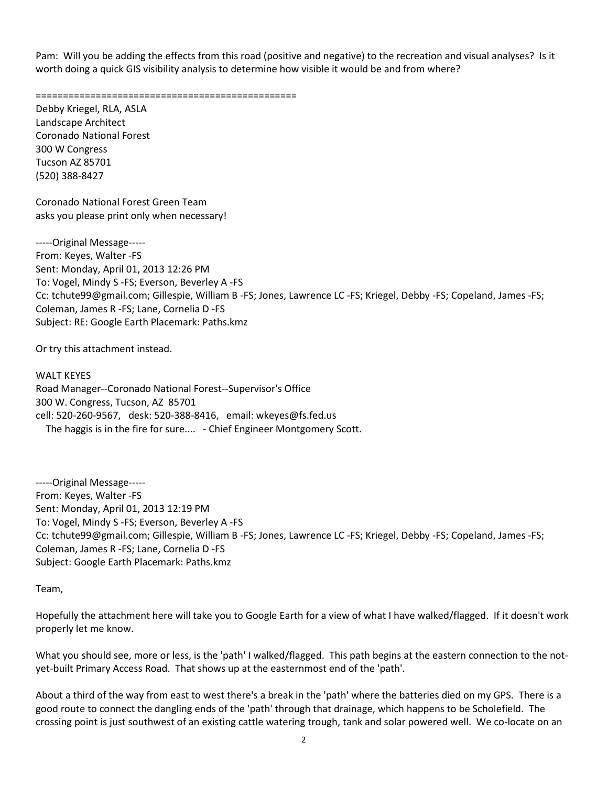Pam: Will you be adding the effects from this road (positive and negative) to the recreation and visual analyses? Is it worth doing a quick GIS visibility analysis to determine how visible it would be and from where?

================================================

Debby Kriegel, RLA, ASLA Landscape Architect Coronado National Forest 300 W Congress Tucson AZ 85701 (520) 388-8427

Coronado National Forest Green Team asks you please print only when necessary!

-----Original Message----- From: Keyes, Walter -FS Sent: Monday, April 01, 2013 12:26 PM To: Vogel, Mindy S -FS; Everson, Beverley A -FS Cc: tchute99@gmail.com; Gillespie, William B -FS; Jones, Lawrence LC -FS; Kriegel, Debby -FS; Copeland, James -FS; Coleman, James R -FS; Lane, Cornelia D -FS Subject: RE: Google Earth Placemark: Paths.kmz

Or try this attachment instead.

WALT KEYES Road Manager--Coronado National Forest--Supervisor's Office 300 W. Congress, Tucson, AZ 85701 cell: 520-260-9567, desk: 520-388-8416, email: wkeyes@fs.fed.us The haggis is in the fire for sure.... - Chief Engineer Montgomery Scott.

-----Original Message----- From: Keyes, Walter -FS Sent: Monday, April 01, 2013 12:19 PM To: Vogel, Mindy S -FS; Everson, Beverley A -FS Cc: tchute99@gmail.com; Gillespie, William B -FS; Jones, Lawrence LC -FS; Kriegel, Debby -FS; Copeland, James -FS; Coleman, James R -FS; Lane, Cornelia D -FS Subject: Google Earth Placemark: Paths.kmz

Team,

Hopefully the attachment here will take you to Google Earth for a view of what I have walked/flagged. If it doesn't work properly let me know.

What you should see, more or less, is the 'path' I walked/flagged. This path begins at the eastern connection to the notyet-built Primary Access Road. That shows up at the easternmost end of the 'path'.

About a third of the way from east to west there's a break in the 'path' where the batteries died on my GPS. There is a good route to connect the dangling ends of the 'path' through that drainage, which happens to be Scholefield. The crossing point is just southwest of an existing cattle watering trough, tank and solar powered well. We co-locate on an